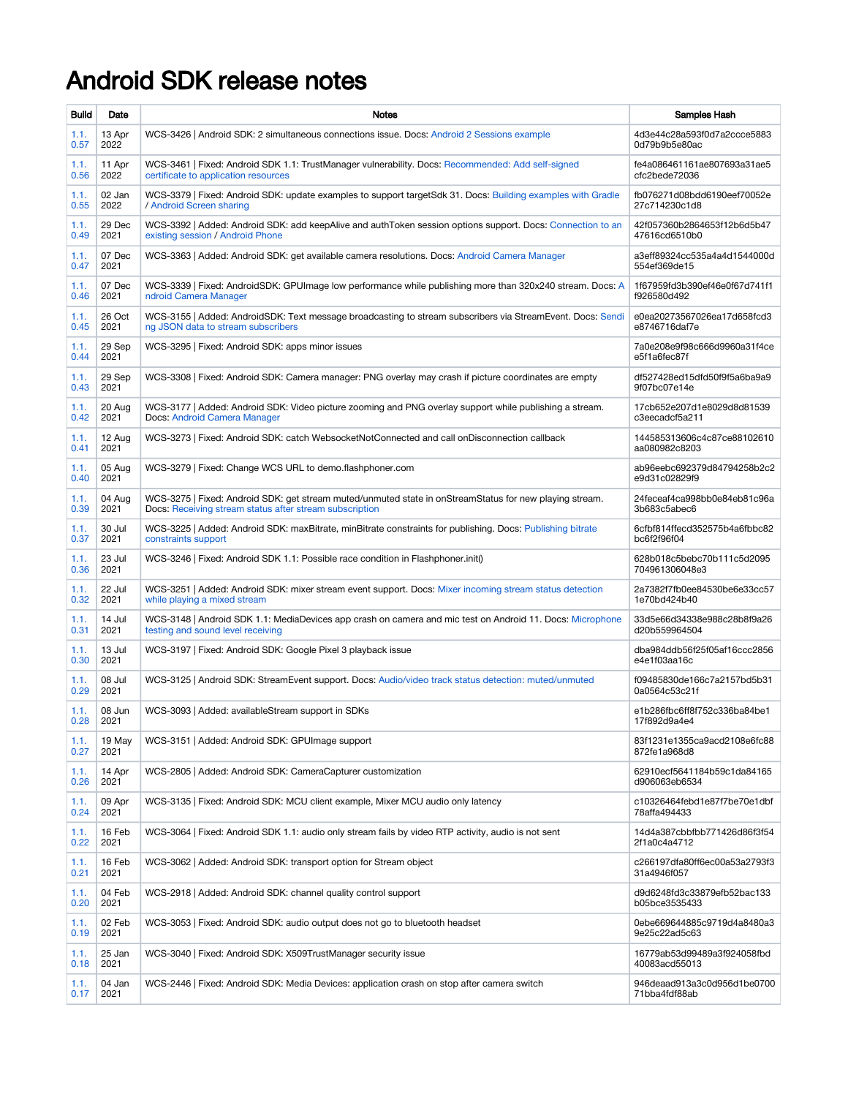## Android SDK release notes

| <b>Build</b> | Date   | Notes                                                                                                       | Samples Hash                  |
|--------------|--------|-------------------------------------------------------------------------------------------------------------|-------------------------------|
| 1.1.         | 13 Apr | WCS-3426   Android SDK: 2 simultaneous connections issue. Docs: Android 2 Sessions example                  | 4d3e44c28a593f0d7a2ccce5883   |
| 0.57         | 2022   |                                                                                                             | 0d79b9b5e80ac                 |
| 1.1.         | 11 Apr | WCS-3461   Fixed: Android SDK 1.1: TrustManager vulnerability. Docs: Recommended: Add self-signed           | fe4a086461161ae807693a31ae5   |
| 0.56         | 2022   | certificate to application resources                                                                        | cfc2bede72036                 |
| 1.1.         | 02 Jan | WCS-3379   Fixed: Android SDK: update examples to support targetSdk 31. Docs: Building examples with Gradle | fb076271d08bdd6190eef70052e   |
| 0.55         | 2022   | / Android Screen sharing                                                                                    | 27c714230c1d8                 |
| 1.1.         | 29 Dec | WCS-3392   Added: Android SDK: add keepAlive and authToken session options support. Docs: Connection to an  | 42f057360b2864653f12b6d5b47   |
| 0.49         | 2021   | existing session / Android Phone                                                                            | 47616cd6510b0                 |
| 1.1.         | 07 Dec | WCS-3363   Added: Android SDK: get available camera resolutions. Docs: Android Camera Manager               | a3eff89324cc535a4a4d1544000d  |
| 0.47         | 2021   |                                                                                                             | 554ef369de15                  |
| 1.1.         | 07 Dec | WCS-3339   Fixed: AndroidSDK: GPUImage low performance while publishing more than 320x240 stream. Docs: A   | 1f67959fd3b390ef46e0f67d741f1 |
| 0.46         | 2021   | ndroid Camera Manager                                                                                       | f926580d492                   |
| 1.1.         | 26 Oct | WCS-3155   Added: AndroidSDK: Text message broadcasting to stream subscribers via StreamEvent. Docs: Sendi  | e0ea20273567026ea17d658fcd3   |
| 0.45         | 2021   | ng JSON data to stream subscribers                                                                          | e8746716daf7e                 |
| 1.1.         | 29 Sep | WCS-3295   Fixed: Android SDK: apps minor issues                                                            | 7a0e208e9f98c666d9960a31f4ce  |
| 0.44         | 2021   |                                                                                                             | e5f1a6fec87f                  |
| 1.1.         | 29 Sep | WCS-3308   Fixed: Android SDK: Camera manager: PNG overlay may crash if picture coordinates are empty       | df527428ed15dfd50f9f5a6ba9a9  |
| 0.43         | 2021   |                                                                                                             | 9f07bc07e14e                  |
| 1.1.         | 20 Aug | WCS-3177 Added: Android SDK: Video picture zooming and PNG overlay support while publishing a stream.       | 17cb652e207d1e8029d8d81539    |
| 0.42         | 2021   | Docs: Android Camera Manager                                                                                | c3eecadcf5a211                |
| 1.1.         | 12 Aug | WCS-3273   Fixed: Android SDK: catch WebsocketNotConnected and call onDisconnection callback                | 144585313606c4c87ce88102610   |
| 0.41         | 2021   |                                                                                                             | aa080982c8203                 |
| 1.1.         | 05 Aug | WCS-3279   Fixed: Change WCS URL to demo.flashphoner.com                                                    | ab96eebc692379d84794258b2c2   |
| 0.40         | 2021   |                                                                                                             | e9d31c02829f9                 |
| 1.1.         | 04 Aug | WCS-3275   Fixed: Android SDK: get stream muted/unmuted state in onStreamStatus for new playing stream.     | 24feceaf4ca998bb0e84eb81c96a  |
| 0.39         | 2021   | Docs: Receiving stream status after stream subscription                                                     | 3b683c5abec6                  |
| 1.1.         | 30 Jul | WCS-3225 Added: Android SDK: maxBitrate, minBitrate constraints for publishing. Docs: Publishing bitrate    | 6cfbf814ffecd352575b4a6fbbc82 |
| 0.37         | 2021   | constraints support                                                                                         | bc6f2f96f04                   |
| 1.1.         | 23 Jul | WCS-3246   Fixed: Android SDK 1.1: Possible race condition in Flashphoner.init()                            | 628b018c5bebc70b111c5d2095    |
| 0.36         | 2021   |                                                                                                             | 704961306048e3                |
| 1.1.         | 22 Jul | WCS-3251 Added: Android SDK: mixer stream event support. Docs: Mixer incoming stream status detection       | 2a7382f7fb0ee84530be6e33cc57  |
| 0.32         | 2021   | while playing a mixed stream                                                                                | 1e70bd424b40                  |
| 1.1.         | 14 Jul | WCS-3148   Android SDK 1.1: MediaDevices app crash on camera and mic test on Android 11. Docs: Microphone   | 33d5e66d34338e988c28b8f9a26   |
| 0.31         | 2021   | testing and sound level receiving                                                                           | d20b559964504                 |
| 1.1.         | 13 Jul | WCS-3197   Fixed: Android SDK: Google Pixel 3 playback issue                                                | dba984ddb56f25f05af16ccc2856  |
| 0.30         | 2021   |                                                                                                             | e4e1f03aa16c                  |
| 1.1.         | 08 Jul | WCS-3125   Android SDK: StreamEvent support. Docs: Audio/video track status detection: muted/unmuted        | f09485830de166c7a2157bd5b31   |
| 0.29         | 2021   |                                                                                                             | 0a0564c53c21f                 |
| 1.1.         | 08 Jun | WCS-3093   Added: availableStream support in SDKs                                                           | e1b286fbc6ff8f752c336ba84be1  |
| 0.28         | 2021   |                                                                                                             | 17f892d9a4e4                  |
| 1.1.         | 19 May | WCS-3151   Added: Android SDK: GPUImage support                                                             | 83f1231e1355ca9acd2108e6fc88  |
| 0.27         | 2021   |                                                                                                             | 872fe1a968d8                  |
| 1.1.         | 14 Apr | WCS-2805   Added: Android SDK: CameraCapturer customization                                                 | 62910ecf5641184b59c1da84165   |
| 0.26         | 2021   |                                                                                                             | d906063eb6534                 |
| 1.1.         | 09 Apr | WCS-3135   Fixed: Android SDK: MCU client example, Mixer MCU audio only latency                             | c10326464febd1e87f7be70e1dbf  |
| 0.24         | 2021   |                                                                                                             | 78affa494433                  |
| 1.1.         | 16 Feb | WCS-3064   Fixed: Android SDK 1.1: audio only stream fails by video RTP activity, audio is not sent         | 14d4a387cbbfbb771426d86f3f54  |
| 0.22         | 2021   |                                                                                                             | 2f1a0c4a4712                  |
| 1.1.         | 16 Feb | WCS-3062   Added: Android SDK: transport option for Stream object                                           | c266197dfa80ff6ec00a53a2793f3 |
| 0.21         | 2021   |                                                                                                             | 31a4946f057                   |
| 1.1.         | 04 Feb | WCS-2918   Added: Android SDK: channel quality control support                                              | d9d6248fd3c33879efb52bac133   |
| 0.20         | 2021   |                                                                                                             | b05bce3535433                 |
| 1.1.         | 02 Feb | WCS-3053   Fixed: Android SDK: audio output does not go to bluetooth headset                                | 0ebe669644885c9719d4a8480a3   |
| 0.19         | 2021   |                                                                                                             | 9e25c22ad5c63                 |
| 1.1.         | 25 Jan | WCS-3040   Fixed: Android SDK: X509TrustManager security issue                                              | 16779ab53d99489a3f924058fbd   |
| 0.18         | 2021   |                                                                                                             | 40083acd55013                 |
| 1.1.         | 04 Jan | WCS-2446   Fixed: Android SDK: Media Devices: application crash on stop after camera switch                 | 946deaad913a3c0d956d1be0700   |
| 0.17         | 2021   |                                                                                                             | 71bba4fdf88ab                 |